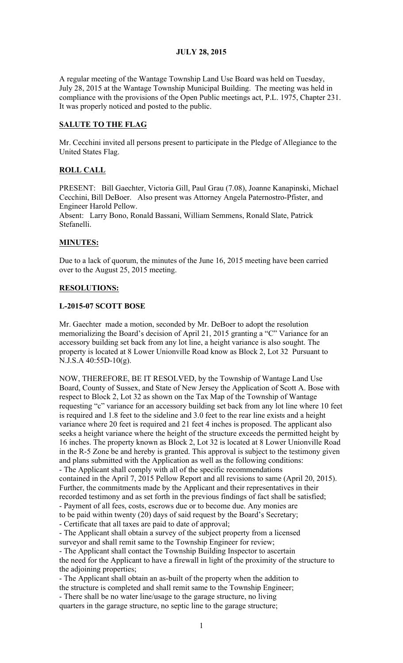# JULY 28, 2015

A regular meeting of the Wantage Township Land Use Board was held on Tuesday, July 28, 2015 at the Wantage Township Municipal Building. The meeting was held in compliance with the provisions of the Open Public meetings act, P.L. 1975, Chapter 231. It was properly noticed and posted to the public.

# SALUTE TO THE FLAG

Mr. Cecchini invited all persons present to participate in the Pledge of Allegiance to the United States Flag.

# ROLL CALL

PRESENT: Bill Gaechter, Victoria Gill, Paul Grau (7.08), Joanne Kanapinski, Michael Cecchini, Bill DeBoer. Also present was Attorney Angela Paternostro-Pfister, and Engineer Harold Pellow.

Absent: Larry Bono, Ronald Bassani, William Semmens, Ronald Slate, Patrick Stefanelli.

# MINUTES:

Due to a lack of quorum, the minutes of the June 16, 2015 meeting have been carried over to the August 25, 2015 meeting.

### RESOLUTIONS:

### L-2015-07 SCOTT BOSE

Mr. Gaechter made a motion, seconded by Mr. DeBoer to adopt the resolution memorializing the Board's decision of April 21, 2015 granting a "C" Variance for an accessory building set back from any lot line, a height variance is also sought. The property is located at 8 Lower Unionville Road know as Block 2, Lot 32 Pursuant to N.J.S.A 40:55D-10(g).

NOW, THEREFORE, BE IT RESOLVED, by the Township of Wantage Land Use Board, County of Sussex, and State of New Jersey the Application of Scott A. Bose with respect to Block 2, Lot 32 as shown on the Tax Map of the Township of Wantage requesting "c" variance for an accessory building set back from any lot line where 10 feet is required and 1.8 feet to the sideline and 3.0 feet to the rear line exists and a height variance where 20 feet is required and 21 feet 4 inches is proposed. The applicant also seeks a height variance where the height of the structure exceeds the permitted height by 16 inches. The property known as Block 2, Lot 32 is located at 8 Lower Unionville Road in the R-5 Zone be and hereby is granted. This approval is subject to the testimony given and plans submitted with the Application as well as the following conditions: - The Applicant shall comply with all of the specific recommendations contained in the April 7, 2015 Pellow Report and all revisions to same (April 20, 2015). Further, the commitments made by the Applicant and their representatives in their recorded testimony and as set forth in the previous findings of fact shall be satisfied; - Payment of all fees, costs, escrows due or to become due. Any monies are to be paid within twenty (20) days of said request by the Board's Secretary; - Certificate that all taxes are paid to date of approval; - The Applicant shall obtain a survey of the subject property from a licensed surveyor and shall remit same to the Township Engineer for review; - The Applicant shall contact the Township Building Inspector to ascertain the need for the Applicant to have a firewall in light of the proximity of the structure to the adjoining properties; - The Applicant shall obtain an as-built of the property when the addition to the structure is completed and shall remit same to the Township Engineer;

- There shall be no water line/usage to the garage structure, no living quarters in the garage structure, no septic line to the garage structure;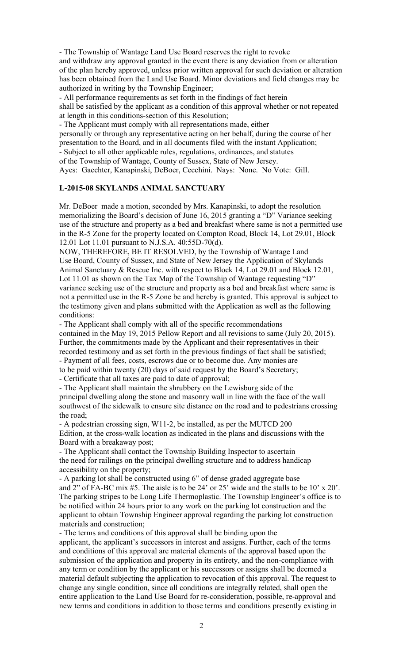- The Township of Wantage Land Use Board reserves the right to revoke and withdraw any approval granted in the event there is any deviation from or alteration of the plan hereby approved, unless prior written approval for such deviation or alteration has been obtained from the Land Use Board. Minor deviations and field changes may be authorized in writing by the Township Engineer;

- All performance requirements as set forth in the findings of fact herein shall be satisfied by the applicant as a condition of this approval whether or not repeated at length in this conditions-section of this Resolution;

- The Applicant must comply with all representations made, either

personally or through any representative acting on her behalf, during the course of her presentation to the Board, and in all documents filed with the instant Application; - Subject to all other applicable rules, regulations, ordinances, and statutes

of the Township of Wantage, County of Sussex, State of New Jersey.

Ayes: Gaechter, Kanapinski, DeBoer, Cecchini. Nays: None. No Vote: Gill.

# L-2015-08 SKYLANDS ANIMAL SANCTUARY

Mr. DeBoer made a motion, seconded by Mrs. Kanapinski, to adopt the resolution memorializing the Board's decision of June 16, 2015 granting a "D" Variance seeking use of the structure and property as a bed and breakfast where same is not a permitted use in the R-5 Zone for the property located on Compton Road, Block 14, Lot 29.01, Block 12.01 Lot 11.01 pursuant to N.J.S.A. 40:55D-70(d).

NOW, THEREFORE, BE IT RESOLVED, by the Township of Wantage Land Use Board, County of Sussex, and State of New Jersey the Application of Skylands Animal Sanctuary & Rescue Inc. with respect to Block 14, Lot 29.01 and Block 12.01, Lot 11.01 as shown on the Tax Map of the Township of Wantage requesting "D" variance seeking use of the structure and property as a bed and breakfast where same is not a permitted use in the R-5 Zone be and hereby is granted. This approval is subject to the testimony given and plans submitted with the Application as well as the following conditions:

- The Applicant shall comply with all of the specific recommendations contained in the May 19, 2015 Pellow Report and all revisions to same (July 20, 2015). Further, the commitments made by the Applicant and their representatives in their recorded testimony and as set forth in the previous findings of fact shall be satisfied; - Payment of all fees, costs, escrows due or to become due. Any monies are to be paid within twenty (20) days of said request by the Board's Secretary;

- Certificate that all taxes are paid to date of approval;

- The Applicant shall maintain the shrubbery on the Lewisburg side of the principal dwelling along the stone and masonry wall in line with the face of the wall southwest of the sidewalk to ensure site distance on the road and to pedestrians crossing the road;

- A pedestrian crossing sign, W11-2, be installed, as per the MUTCD 200 Edition, at the cross-walk location as indicated in the plans and discussions with the Board with a breakaway post;

- The Applicant shall contact the Township Building Inspector to ascertain the need for railings on the principal dwelling structure and to address handicap accessibility on the property;

- A parking lot shall be constructed using 6" of dense graded aggregate base and 2" of FA-BC mix #5. The aisle is to be 24' or 25' wide and the stalls to be 10' x 20'. The parking stripes to be Long Life Thermoplastic. The Township Engineer's office is to be notified within 24 hours prior to any work on the parking lot construction and the applicant to obtain Township Engineer approval regarding the parking lot construction materials and construction;

- The terms and conditions of this approval shall be binding upon the applicant, the applicant's successors in interest and assigns. Further, each of the terms and conditions of this approval are material elements of the approval based upon the submission of the application and property in its entirety, and the non-compliance with any term or condition by the applicant or his successors or assigns shall be deemed a material default subjecting the application to revocation of this approval. The request to change any single condition, since all conditions are integrally related, shall open the entire application to the Land Use Board for re-consideration, possible, re-approval and new terms and conditions in addition to those terms and conditions presently existing in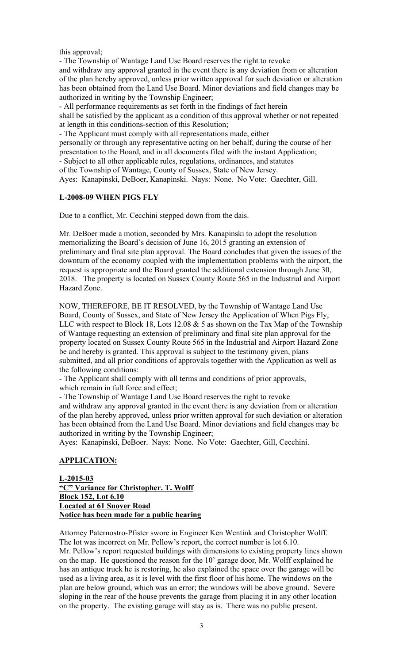this approval;

- The Township of Wantage Land Use Board reserves the right to revoke and withdraw any approval granted in the event there is any deviation from or alteration of the plan hereby approved, unless prior written approval for such deviation or alteration has been obtained from the Land Use Board. Minor deviations and field changes may be authorized in writing by the Township Engineer;

- All performance requirements as set forth in the findings of fact herein shall be satisfied by the applicant as a condition of this approval whether or not repeated at length in this conditions-section of this Resolution;

- The Applicant must comply with all representations made, either

personally or through any representative acting on her behalf, during the course of her presentation to the Board, and in all documents filed with the instant Application; - Subject to all other applicable rules, regulations, ordinances, and statutes

of the Township of Wantage, County of Sussex, State of New Jersey.

Ayes: Kanapinski, DeBoer, Kanapinski. Nays: None. No Vote: Gaechter, Gill.

# L-2008-09 WHEN PIGS FLY

Due to a conflict, Mr. Cecchini stepped down from the dais.

Mr. DeBoer made a motion, seconded by Mrs. Kanapinski to adopt the resolution memorializing the Board's decision of June 16, 2015 granting an extension of preliminary and final site plan approval. The Board concludes that given the issues of the downturn of the economy coupled with the implementation problems with the airport, the request is appropriate and the Board granted the additional extension through June 30, 2018. The property is located on Sussex County Route 565 in the Industrial and Airport Hazard Zone.

NOW, THEREFORE, BE IT RESOLVED, by the Township of Wantage Land Use Board, County of Sussex, and State of New Jersey the Application of When Pigs Fly, LLC with respect to Block 18, Lots 12.08  $&$  5 as shown on the Tax Map of the Township of Wantage requesting an extension of preliminary and final site plan approval for the property located on Sussex County Route 565 in the Industrial and Airport Hazard Zone be and hereby is granted. This approval is subject to the testimony given, plans submitted, and all prior conditions of approvals together with the Application as well as the following conditions:

- The Applicant shall comply with all terms and conditions of prior approvals, which remain in full force and effect;

- The Township of Wantage Land Use Board reserves the right to revoke and withdraw any approval granted in the event there is any deviation from or alteration of the plan hereby approved, unless prior written approval for such deviation or alteration has been obtained from the Land Use Board. Minor deviations and field changes may be authorized in writing by the Township Engineer;

Ayes: Kanapinski, DeBoer. Nays: None. No Vote: Gaechter, Gill, Cecchini.

### APPLICATION:

L-2015-03 "C" Variance for Christopher. T. Wolff Block 152, Lot 6.10 Located at 61 Snover Road Notice has been made for a public hearing

Attorney Paternostro-Pfister swore in Engineer Ken Wentink and Christopher Wolff. The lot was incorrect on Mr. Pellow's report, the correct number is lot 6.10. Mr. Pellow's report requested buildings with dimensions to existing property lines shown on the map. He questioned the reason for the 10' garage door, Mr. Wolff explained he has an antique truck he is restoring, he also explained the space over the garage will be used as a living area, as it is level with the first floor of his home. The windows on the plan are below ground, which was an error; the windows will be above ground. Severe sloping in the rear of the house prevents the garage from placing it in any other location on the property. The existing garage will stay as is. There was no public present.